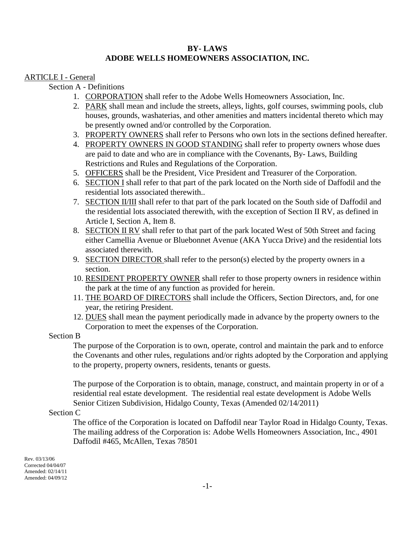## **BY- LAWS ADOBE WELLS HOMEOWNERS ASSOCIATION, INC.**

## ARTICLE I - General

Section A - Definitions

- 1. CORPORATION shall refer to the Adobe Wells Homeowners Association, Inc.
- 2. PARK shall mean and include the streets, alleys, lights, golf courses, swimming pools, club houses, grounds, washaterias, and other amenities and matters incidental thereto which may be presently owned and/or controlled by the Corporation.
- 3. PROPERTY OWNERS shall refer to Persons who own lots in the sections defined hereafter.
- 4. PROPERTY OWNERS IN GOOD STANDING shall refer to property owners whose dues are paid to date and who are in compliance with the Covenants, By- Laws, Building Restrictions and Rules and Regulations of the Corporation.
- 5. OFFICERS shall be the President, Vice President and Treasurer of the Corporation.
- 6. SECTION I shall refer to that part of the park located on the North side of Daffodil and the residential lots associated therewith..
- 7. SECTION II/III shall refer to that part of the park located on the South side of Daffodil and the residential lots associated therewith, with the exception of Section II RV, as defined in Article I, Section A, Item 8.
- 8. SECTION II RV shall refer to that part of the park located West of 50th Street and facing either Camellia Avenue or Bluebonnet Avenue (AKA Yucca Drive) and the residential lots associated therewith.
- 9. SECTION DIRECTOR shall refer to the person(s) elected by the property owners in a section.
- 10. RESIDENT PROPERTY OWNER shall refer to those property owners in residence within the park at the time of any function as provided for herein.
- 11. THE BOARD OF DIRECTORS shall include the Officers, Section Directors, and, for one year, the retiring President.
- 12. DUES shall mean the payment periodically made in advance by the property owners to the Corporation to meet the expenses of the Corporation.

### Section B

The purpose of the Corporation is to own, operate, control and maintain the park and to enforce the Covenants and other rules, regulations and/or rights adopted by the Corporation and applying to the property, property owners, residents, tenants or guests.

The purpose of the Corporation is to obtain, manage, construct, and maintain property in or of a residential real estate development. The residential real estate development is Adobe Wells Senior Citizen Subdivision, Hidalgo County, Texas (Amended 02/14/2011)

### Section C

The office of the Corporation is located on Daffodil near Taylor Road in Hidalgo County, Texas. The mailing address of the Corporation is: Adobe Wells Homeowners Association, Inc., 4901 Daffodil #465, McAllen, Texas 78501

Rev. 03/13/06 Corrected 04/04/07 Amended: 02/14/11 Amended: 04/09/12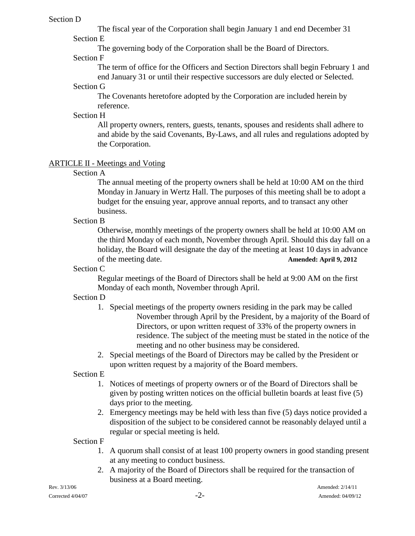## Section D

The fiscal year of the Corporation shall begin January 1 and end December 31 Section E

The governing body of the Corporation shall be the Board of Directors.

## Section F

The term of office for the Officers and Section Directors shall begin February 1 and end January 31 or until their respective successors are duly elected or Selected.

## Section G

The Covenants heretofore adopted by the Corporation are included herein by reference.

# Section H

All property owners, renters, guests, tenants, spouses and residents shall adhere to and abide by the said Covenants, By-Laws, and all rules and regulations adopted by the Corporation.

# ARTICLE II - Meetings and Voting

Section A

The annual meeting of the property owners shall be held at 10:00 AM on the third Monday in January in Wertz Hall. The purposes of this meeting shall be to adopt a budget for the ensuing year, approve annual reports, and to transact any other business.

Section B

Otherwise, monthly meetings of the property owners shall be held at 10:00 AM on the third Monday of each month, November through April. Should this day fall on a holiday, the Board will designate the day of the meeting at least 10 days in advance of the meeting date. **Amended: April 9, 2012**

# Section C

Regular meetings of the Board of Directors shall be held at 9:00 AM on the first Monday of each month, November through April.

# Section D

- 1. Special meetings of the property owners residing in the park may be called November through April by the President, by a majority of the Board of Directors, or upon written request of 33% of the property owners in residence. The subject of the meeting must be stated in the notice of the meeting and no other business may be considered.
- 2. Special meetings of the Board of Directors may be called by the President or upon written request by a majority of the Board members.

Section E

- 1. Notices of meetings of property owners or of the Board of Directors shall be given by posting written notices on the official bulletin boards at least five (5) days prior to the meeting.
- 2. Emergency meetings may be held with less than five (5) days notice provided a disposition of the subject to be considered cannot be reasonably delayed until a regular or special meeting is held.

Section F

- 1. A quorum shall consist of at least 100 property owners in good standing present at any meeting to conduct business.
- 2. A majority of the Board of Directors shall be required for the transaction of business at a Board meeting.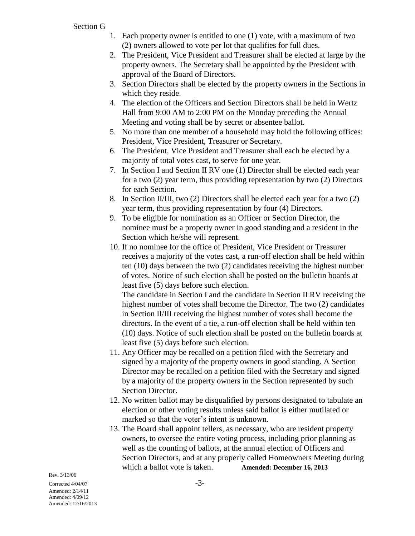Section G

- 1. Each property owner is entitled to one (1) vote, with a maximum of two (2) owners allowed to vote per lot that qualifies for full dues.
- 2. The President, Vice President and Treasurer shall be elected at large by the property owners. The Secretary shall be appointed by the President with approval of the Board of Directors.
- 3. Section Directors shall be elected by the property owners in the Sections in which they reside.
- 4. The election of the Officers and Section Directors shall be held in Wertz Hall from 9:00 AM to 2:00 PM on the Monday preceding the Annual Meeting and voting shall be by secret or absentee ballot.
- 5. No more than one member of a household may hold the following offices: President, Vice President, Treasurer or Secretary.
- 6. The President, Vice President and Treasurer shall each be elected by a majority of total votes cast, to serve for one year.
- 7. In Section I and Section II RV one (1) Director shall be elected each year for a two (2) year term, thus providing representation by two (2) Directors for each Section.
- 8. In Section II/III, two (2) Directors shall be elected each year for a two (2) year term, thus providing representation by four (4) Directors.
- 9. To be eligible for nomination as an Officer or Section Director, the nominee must be a property owner in good standing and a resident in the Section which he/she will represent.
- 10. If no nominee for the office of President, Vice President or Treasurer receives a majority of the votes cast, a run-off election shall be held within ten (10) days between the two (2) candidates receiving the highest number of votes. Notice of such election shall be posted on the bulletin boards at least five (5) days before such election.

The candidate in Section I and the candidate in Section II RV receiving the highest number of votes shall become the Director. The two (2) candidates in Section II/III receiving the highest number of votes shall become the directors. In the event of a tie, a run-off election shall be held within ten (10) days. Notice of such election shall be posted on the bulletin boards at least five (5) days before such election.

- 11. Any Officer may be recalled on a petition filed with the Secretary and signed by a majority of the property owners in good standing. A Section Director may be recalled on a petition filed with the Secretary and signed by a majority of the property owners in the Section represented by such Section Director.
- 12. No written ballot may be disqualified by persons designated to tabulate an election or other voting results unless said ballot is either mutilated or marked so that the voter's intent is unknown.
- 13. The Board shall appoint tellers, as necessary, who are resident property owners, to oversee the entire voting process, including prior planning as well as the counting of ballots, at the annual election of Officers and Section Directors, and at any properly called Homeowners Meeting during which a ballot vote is taken. **Amended: December 16, 2013**

Corrected  $4/04/07$  -3-Amended: 2/14/11 Amended: 4/09/12 Amended: 12/16/2013

Rev. 3/13/06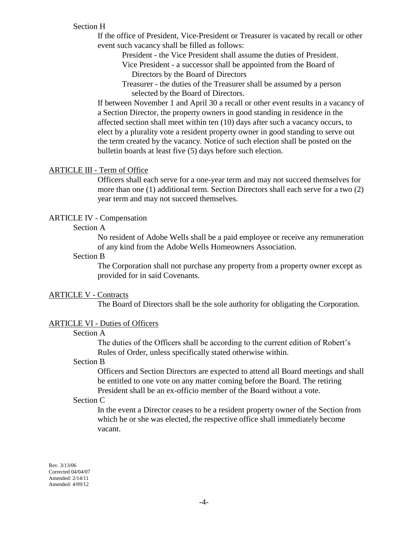## Section H

If the office of President, Vice-President or Treasurer is vacated by recall or other event such vacancy shall be filled as follows:

President - the Vice President shall assume the duties of President.

 Vice President - a successor shall be appointed from the Board of Directors by the Board of Directors

 Treasurer - the duties of the Treasurer shall be assumed by a person selected by the Board of Directors.

If between November 1 and April 30 a recall or other event results in a vacancy of a Section Director, the property owners in good standing in residence in the affected section shall meet within ten (10) days after such a vacancy occurs, to elect by a plurality vote a resident property owner in good standing to serve out the term created by the vacancy. Notice of such election shall be posted on the bulletin boards at least five (5) days before such election.

#### ARTICLE III - Term of Office

Officers shall each serve for a one-year term and may not succeed themselves for more than one (1) additional term. Section Directors shall each serve for a two (2) year term and may not succeed themselves.

#### ARTICLE IV - Compensation

## Section A

No resident of Adobe Wells shall be a paid employee or receive any remuneration of any kind from the Adobe Wells Homeowners Association.

#### Section B

The Corporation shall not purchase any property from a property owner except as provided for in said Covenants.

#### ARTICLE V - Contracts

The Board of Directors shall be the sole authority for obligating the Corporation.

## ARTICLE VI - Duties of Officers

## Section A

The duties of the Officers shall be according to the current edition of Robert's Rules of Order, unless specifically stated otherwise within.

#### Section B

Officers and Section Directors are expected to attend all Board meetings and shall be entitled to one vote on any matter coming before the Board. The retiring President shall be an ex-officio member of the Board without a vote.

#### Section C

In the event a Director ceases to be a resident property owner of the Section from which he or she was elected, the respective office shall immediately become vacant.

Rev. 3/13/06 Corrected 04/04/07 Amended: 2/14/11 Amended: 4/09/12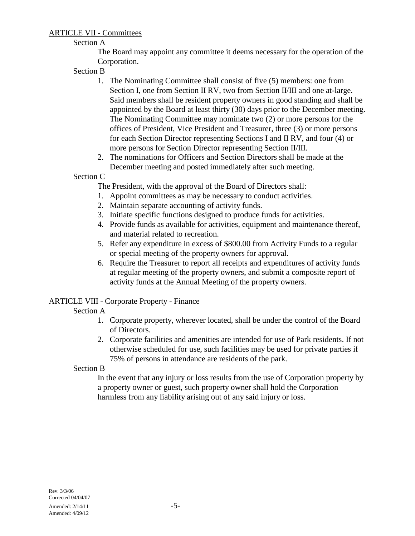# ARTICLE VII - Committees

# Section A

The Board may appoint any committee it deems necessary for the operation of the Corporation.

Section B

- 1. The Nominating Committee shall consist of five (5) members: one from Section I, one from Section II RV, two from Section II/III and one at-large. Said members shall be resident property owners in good standing and shall be appointed by the Board at least thirty (30) days prior to the December meeting. The Nominating Committee may nominate two (2) or more persons for the offices of President, Vice President and Treasurer, three (3) or more persons for each Section Director representing Sections I and II RV, and four (4) or more persons for Section Director representing Section II/III.
- 2. The nominations for Officers and Section Directors shall be made at the December meeting and posted immediately after such meeting.

Section C

The President, with the approval of the Board of Directors shall:

- 1. Appoint committees as may be necessary to conduct activities.
- 2. Maintain separate accounting of activity funds.
- 3. Initiate specific functions designed to produce funds for activities.
- 4. Provide funds as available for activities, equipment and maintenance thereof, and material related to recreation.
- 5. Refer any expenditure in excess of \$800.00 from Activity Funds to a regular or special meeting of the property owners for approval.
- 6. Require the Treasurer to report all receipts and expenditures of activity funds at regular meeting of the property owners, and submit a composite report of activity funds at the Annual Meeting of the property owners.

# ARTICLE VIII - Corporate Property - Finance

# Section A

- 1. Corporate property, wherever located, shall be under the control of the Board of Directors.
- 2. Corporate facilities and amenities are intended for use of Park residents. If not otherwise scheduled for use, such facilities may be used for private parties if 75% of persons in attendance are residents of the park.

Section B

In the event that any injury or loss results from the use of Corporation property by a property owner or guest, such property owner shall hold the Corporation harmless from any liability arising out of any said injury or loss.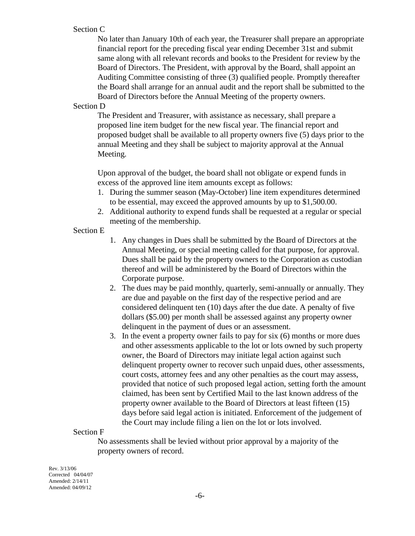## Section C

No later than January 10th of each year, the Treasurer shall prepare an appropriate financial report for the preceding fiscal year ending December 31st and submit same along with all relevant records and books to the President for review by the Board of Directors. The President, with approval by the Board, shall appoint an Auditing Committee consisting of three (3) qualified people. Promptly thereafter the Board shall arrange for an annual audit and the report shall be submitted to the Board of Directors before the Annual Meeting of the property owners.

### Section D

The President and Treasurer, with assistance as necessary, shall prepare a proposed line item budget for the new fiscal year. The financial report and proposed budget shall be available to all property owners five (5) days prior to the annual Meeting and they shall be subject to majority approval at the Annual Meeting.

Upon approval of the budget, the board shall not obligate or expend funds in excess of the approved line item amounts except as follows:

- 1. During the summer season (May-October) line item expenditures determined to be essential, may exceed the approved amounts by up to \$1,500.00.
- 2. Additional authority to expend funds shall be requested at a regular or special meeting of the membership.

### Section E

- 1. Any changes in Dues shall be submitted by the Board of Directors at the Annual Meeting, or special meeting called for that purpose, for approval. Dues shall be paid by the property owners to the Corporation as custodian thereof and will be administered by the Board of Directors within the Corporate purpose.
- 2. The dues may be paid monthly, quarterly, semi-annually or annually. They are due and payable on the first day of the respective period and are considered delinquent ten (10) days after the due date. A penalty of five dollars (\$5.00) per month shall be assessed against any property owner delinquent in the payment of dues or an assessment.
- 3. In the event a property owner fails to pay for six (6) months or more dues and other assessments applicable to the lot or lots owned by such property owner, the Board of Directors may initiate legal action against such delinquent property owner to recover such unpaid dues, other assessments, court costs, attorney fees and any other penalties as the court may assess, provided that notice of such proposed legal action, setting forth the amount claimed, has been sent by Certified Mail to the last known address of the property owner available to the Board of Directors at least fifteen (15) days before said legal action is initiated. Enforcement of the judgement of the Court may include filing a lien on the lot or lots involved.

### Section F

No assessments shall be levied without prior approval by a majority of the property owners of record.

Rev. 3/13/06 Corrected 04/04/07 Amended: 2/14/11 Amended: 04/09/12